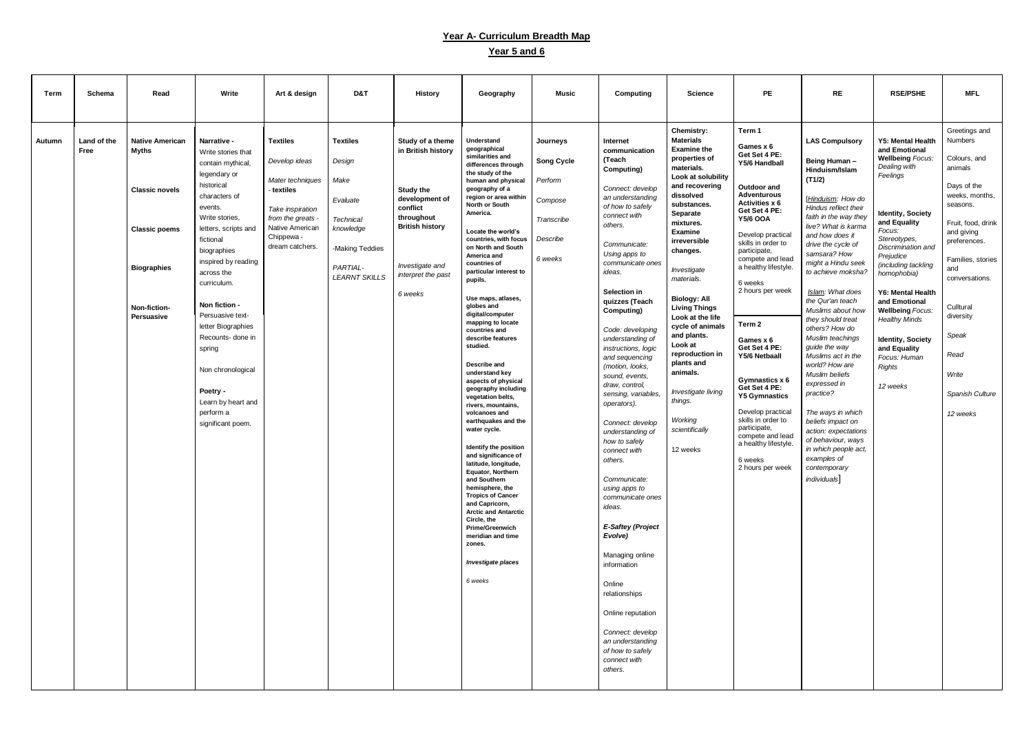## **Year A- Curriculum Breadth Map**

## **Year 5 and 6**

| Term   | Schema      | Read                       | Write                    | Art & design                        | D&T                  | <b>History</b>         | Geography                                     | Music             | Computing                            | <b>Science</b>                           | PE                                       | <b>RE</b>                                  | <b>RSE/PSHE</b>                          | <b>MFL</b>                       |
|--------|-------------|----------------------------|--------------------------|-------------------------------------|----------------------|------------------------|-----------------------------------------------|-------------------|--------------------------------------|------------------------------------------|------------------------------------------|--------------------------------------------|------------------------------------------|----------------------------------|
|        |             |                            |                          |                                     |                      |                        |                                               |                   |                                      |                                          |                                          |                                            |                                          |                                  |
|        |             |                            |                          |                                     |                      |                        |                                               |                   |                                      |                                          |                                          |                                            |                                          |                                  |
|        |             |                            |                          |                                     |                      |                        |                                               |                   |                                      | Chemistry:                               | Term 1                                   |                                            |                                          | Greetings and                    |
| Autumn | Land of the | <b>Native American</b>     | Narrative -              | <b>Textiles</b>                     | <b>Textiles</b>      | Study of a theme       | Understand                                    | Journeys          | <b>Internet</b>                      | <b>Materials</b>                         | Games x 6                                | <b>LAS Compulsory</b>                      | <b>Y5: Mental Health</b>                 | <b>Numbers</b>                   |
|        | Free        | <b>Myths</b>               | Write stories that       |                                     |                      | in British history     | geographical<br>similarities and              |                   | communication                        | <b>Examine the</b><br>properties of      | Get Set 4 PE:                            |                                            | and Emotional<br><b>Wellbeing Focus:</b> | Colours, and                     |
|        |             |                            | contain mythical,        | Develop ideas                       | Design               |                        | differences through                           | <b>Song Cycle</b> | (Teach<br>Computing)                 | materials.                               | Y5/6 Handball                            | Being Human-<br>Hinduism/Islam             | Dealing with                             | animals                          |
|        |             |                            | legendary or             | Mater techniques                    | Make                 |                        | the study of the<br>human and physical        | Perform           |                                      | Look at solubility                       |                                          | (T1/2)                                     | Feelings                                 |                                  |
|        |             | <b>Classic novels</b>      | historical               | - textiles                          |                      | <b>Study the</b>       | geography of a                                |                   | Connect: develop                     | and recovering<br>dissolved              | Outdoor and<br><b>Adventurous</b>        |                                            |                                          | Days of the<br>weeks, months,    |
|        |             |                            | characters of<br>events. |                                     | Evaluate             | development of         | region or area within<br>North or South       | Compose           | an understanding<br>of how to safely | substances.                              | Activities x 6                           | [Hinduism: How do<br>Hindus reflect their  |                                          | seasons.                         |
|        |             |                            | Write stories,           | Take inspiration<br>from the greats | <b>Technical</b>     | conflict<br>throughout | America.                                      | Transcribe        | connect with                         | Separate                                 | Get Set 4 PE:<br><b>Y5/6 OOA</b>         | faith in the way they                      | <b>Identity, Society</b>                 |                                  |
|        |             | <b>Classic poems</b>       | letters, scripts and     | Native American                     | knowledge            | <b>British history</b> | Locate the world's                            |                   | others.                              | mixtures.<br><b>Examine</b>              |                                          | live? What is karma                        | and Equality<br>Focus:                   | Fruit, food, drink<br>and giving |
|        |             |                            | fictional                | Chippewa -                          |                      |                        | countries, with focus                         | Describe          |                                      | irreversible                             | Develop practical<br>skills in order to  | and how does it                            | Stereotypes,                             | preferences.                     |
|        |             |                            | biographies              | dream catchers.                     | -Making Teddies      |                        | on North and South<br>America and             |                   | Communicate:<br>Using apps to        | changes.                                 | participate,                             | drive the cycle of<br>samsara? How         | Discrimination and<br>Prejudice          |                                  |
|        |             | <b>Biographies</b>         | inspired by reading      |                                     | PARTIAL-             | Investigate and        | countries of                                  | 6 weeks           | communicate ones                     |                                          | compete and lead<br>a healthy lifestyle. | might a Hindu seek                         | (including tackling                      | Families, stories                |
|        |             |                            | across the               |                                     | <b>LEARNT SKILLS</b> | interpret the past     | particular interest to<br>pupils.             |                   | ideas.                               | Investigate<br>materials.                |                                          | to achieve moksha?                         | homophobia)                              | and<br>conversations.            |
|        |             |                            | curriculum.              |                                     |                      |                        |                                               |                   | Selection in                         |                                          | 6 weeks<br>2 hours per week              | Islam: What does                           | <b>Y6: Mental Health</b>                 |                                  |
|        |             |                            | Non fiction -            |                                     |                      | 6 weeks                | Use maps, atlases,                            |                   | quizzes (Teach                       | <b>Biology: All</b>                      |                                          | the Qur'an teach                           | and Emotional                            |                                  |
|        |             | Non-fiction-<br>Persuasive | Persuasive text-         |                                     |                      |                        | globes and<br>digital/computer                |                   | Computing)                           | <b>Living Things</b><br>Look at the life |                                          | Muslims about how                          | <b>Wellbeing Focus:</b>                  | Culltural<br>diversity           |
|        |             |                            | letter Biographies       |                                     |                      |                        | mapping to locate                             |                   | Code: developing                     | cycle of animals                         | Term 2                                   | they should treat<br>others? How do        | <b>Healthy Minds</b>                     |                                  |
|        |             |                            | Recounts- done in        |                                     |                      |                        | countries and<br>describe features            |                   | understanding of                     | and plants.                              | Games x 6                                | Muslim teachings                           | <b>Identity, Society</b>                 | Speak                            |
|        |             |                            | spring                   |                                     |                      |                        | studied.                                      |                   | instructions, logic                  | Look at<br>reproduction in               | Get Set 4 PE:                            | guide the way                              | and Equality                             |                                  |
|        |             |                            |                          |                                     |                      |                        | Describe and                                  |                   | and sequencing<br>(motion, looks,    | plants and                               | Y5/6 Netbaall                            | Muslims act in the<br>world? How are       | Focus: Human<br>Rights                   | Read                             |
|        |             |                            | Non chronological        |                                     |                      |                        | understand key                                |                   | sound, events,                       | animals.                                 |                                          | Muslim beliefs                             |                                          | Write                            |
|        |             |                            | Poetry -                 |                                     |                      |                        | aspects of physical<br>geography including    |                   | draw, control,                       |                                          | Gymnastics x 6<br>Get Set 4 PE:          | expressed in                               | 12 weeks                                 |                                  |
|        |             |                            | Learn by heart and       |                                     |                      |                        | vegetation belts,                             |                   | sensing, variables,<br>operators).   | Investigate living<br>things.            | <b>Y5 Gymnastics</b>                     | practice?                                  |                                          | Spanish Culture                  |
|        |             |                            | perform a                |                                     |                      |                        | rivers, mountains,<br>volcanoes and           |                   |                                      |                                          | Develop practical                        | The ways in which                          |                                          | 12 weeks                         |
|        |             |                            | significant poem         |                                     |                      |                        | earthquakes and the                           |                   | Connect: develop                     | Working                                  | skills in order to<br>participate,       | beliefs impact on                          |                                          |                                  |
|        |             |                            |                          |                                     |                      |                        | water cycle.                                  |                   | understanding of<br>how to safely    | scientifically                           | compete and lead                         | action: expectations<br>of behaviour, ways |                                          |                                  |
|        |             |                            |                          |                                     |                      |                        | Identify the position                         |                   | connect with                         | 12 weeks                                 | a healthy lifestyle.                     | in which people act,                       |                                          |                                  |
|        |             |                            |                          |                                     |                      |                        | and significance of<br>latitude, longitude,   |                   | others.                              |                                          | 6 weeks                                  | examples of                                |                                          |                                  |
|        |             |                            |                          |                                     |                      |                        | Equator, Northern                             |                   |                                      |                                          | 2 hours per week                         | contemporary                               |                                          |                                  |
|        |             |                            |                          |                                     |                      |                        | and Southern<br>hemisphere, the               |                   | Communicate:<br>using apps to        |                                          |                                          | individuals]                               |                                          |                                  |
|        |             |                            |                          |                                     |                      |                        | <b>Tropics of Cancer</b>                      |                   | communicate ones                     |                                          |                                          |                                            |                                          |                                  |
|        |             |                            |                          |                                     |                      |                        | and Capricorn,<br><b>Arctic and Antarctic</b> |                   | ideas.                               |                                          |                                          |                                            |                                          |                                  |
|        |             |                            |                          |                                     |                      |                        | Circle, the<br><b>Prime/Greenwich</b>         |                   | <b>E-Saftey (Project</b>             |                                          |                                          |                                            |                                          |                                  |
|        |             |                            |                          |                                     |                      |                        | meridian and time                             |                   | Evolve)                              |                                          |                                          |                                            |                                          |                                  |
|        |             |                            |                          |                                     |                      |                        | zones.                                        |                   |                                      |                                          |                                          |                                            |                                          |                                  |
|        |             |                            |                          |                                     |                      |                        | <b>Investigate places</b>                     |                   | Managing online<br>information       |                                          |                                          |                                            |                                          |                                  |
|        |             |                            |                          |                                     |                      |                        |                                               |                   |                                      |                                          |                                          |                                            |                                          |                                  |
|        |             |                            |                          |                                     |                      |                        | 6 weeks                                       |                   | Online                               |                                          |                                          |                                            |                                          |                                  |
|        |             |                            |                          |                                     |                      |                        |                                               |                   | relationships                        |                                          |                                          |                                            |                                          |                                  |
|        |             |                            |                          |                                     |                      |                        |                                               |                   | Online reputation                    |                                          |                                          |                                            |                                          |                                  |
|        |             |                            |                          |                                     |                      |                        |                                               |                   | Connect: develop                     |                                          |                                          |                                            |                                          |                                  |
|        |             |                            |                          |                                     |                      |                        |                                               |                   | an understanding                     |                                          |                                          |                                            |                                          |                                  |
|        |             |                            |                          |                                     |                      |                        |                                               |                   | of how to safely                     |                                          |                                          |                                            |                                          |                                  |
|        |             |                            |                          |                                     |                      |                        |                                               |                   | connect with<br>others.              |                                          |                                          |                                            |                                          |                                  |
|        |             |                            |                          |                                     |                      |                        |                                               |                   |                                      |                                          |                                          |                                            |                                          |                                  |
|        |             |                            |                          |                                     |                      |                        |                                               |                   |                                      |                                          |                                          |                                            |                                          |                                  |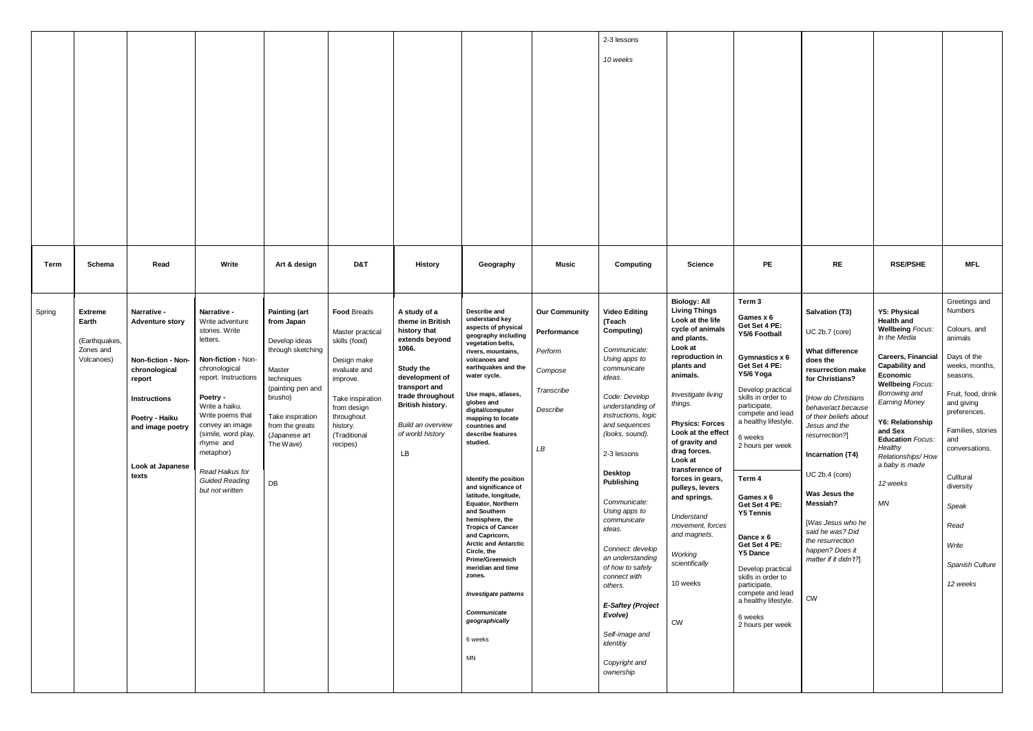|                                                                               |                                                                                                                                                                                         |                                                                                                                                                                                                                                                                                                                  |                                                                                                                                                                                                             |                                                                                                                                                                                             |                                                                                                                                                                                                                           |                                                                                                                                                                                                                                                                                                                                                                                                                                                                                                                                                                                                                                                                                             |                                                                                                   | 2-3 lessons<br>10 weeks                                                                                                                                                                                                                                                                                                                                                                                                                                                                             |                                                                                                                                                                                                                                                                                                                                                                                                                                                                            |                                                                                                                                                                                                                                                                                                                                                                                                                                                                                                |                                                                                                                                                                                                                                                                                                                                                                                                           |                                                                                                                                                                                                                                                                                                                                                                |                                                                                                                                                                                                                                                                                       |
|-------------------------------------------------------------------------------|-----------------------------------------------------------------------------------------------------------------------------------------------------------------------------------------|------------------------------------------------------------------------------------------------------------------------------------------------------------------------------------------------------------------------------------------------------------------------------------------------------------------|-------------------------------------------------------------------------------------------------------------------------------------------------------------------------------------------------------------|---------------------------------------------------------------------------------------------------------------------------------------------------------------------------------------------|---------------------------------------------------------------------------------------------------------------------------------------------------------------------------------------------------------------------------|---------------------------------------------------------------------------------------------------------------------------------------------------------------------------------------------------------------------------------------------------------------------------------------------------------------------------------------------------------------------------------------------------------------------------------------------------------------------------------------------------------------------------------------------------------------------------------------------------------------------------------------------------------------------------------------------|---------------------------------------------------------------------------------------------------|-----------------------------------------------------------------------------------------------------------------------------------------------------------------------------------------------------------------------------------------------------------------------------------------------------------------------------------------------------------------------------------------------------------------------------------------------------------------------------------------------------|----------------------------------------------------------------------------------------------------------------------------------------------------------------------------------------------------------------------------------------------------------------------------------------------------------------------------------------------------------------------------------------------------------------------------------------------------------------------------|------------------------------------------------------------------------------------------------------------------------------------------------------------------------------------------------------------------------------------------------------------------------------------------------------------------------------------------------------------------------------------------------------------------------------------------------------------------------------------------------|-----------------------------------------------------------------------------------------------------------------------------------------------------------------------------------------------------------------------------------------------------------------------------------------------------------------------------------------------------------------------------------------------------------|----------------------------------------------------------------------------------------------------------------------------------------------------------------------------------------------------------------------------------------------------------------------------------------------------------------------------------------------------------------|---------------------------------------------------------------------------------------------------------------------------------------------------------------------------------------------------------------------------------------------------------------------------------------|
| Schema<br>Term                                                                | Read                                                                                                                                                                                    | Write                                                                                                                                                                                                                                                                                                            | Art & design                                                                                                                                                                                                | D&T                                                                                                                                                                                         | <b>History</b>                                                                                                                                                                                                            | Geography                                                                                                                                                                                                                                                                                                                                                                                                                                                                                                                                                                                                                                                                                   | <b>Music</b>                                                                                      | Computing                                                                                                                                                                                                                                                                                                                                                                                                                                                                                           | <b>Science</b>                                                                                                                                                                                                                                                                                                                                                                                                                                                             | PE                                                                                                                                                                                                                                                                                                                                                                                                                                                                                             | <b>RE</b>                                                                                                                                                                                                                                                                                                                                                                                                 | <b>RSE/PSHE</b>                                                                                                                                                                                                                                                                                                                                                | <b>MFL</b>                                                                                                                                                                                                                                                                            |
| <b>Extreme</b><br>Spring<br>Earth<br>(Earthquakes,<br>Zones and<br>Volcanoes) | Narrative -<br><b>Adventure story</b><br><b>Non-fiction - Non-</b><br>chronological<br>report<br><b>Instructions</b><br>Poetry - Haiku<br>and image poetry<br>Look at Japanese<br>texts | Narrative -<br>Write adventure<br>stories. Write<br>letters.<br>Non-fiction - Non-<br>chronological<br>report. Instructions<br>Poetry -<br>Write a haiku.<br>Write poems that<br>convey an image<br>(simile, word play,<br>rhyme and<br>metaphor)<br>Read Haikus for<br><b>Guided Reading</b><br>but not written | <b>Painting (art</b><br>from Japan<br>Develop ideas<br>through sketching<br>Master<br>techniques<br>(painting pen and<br>brusho)<br>Take inspiration<br>from the greats<br>(Japanese art<br>The Wave)<br>DB | <b>Food Breads</b><br>Master practical<br>skills (food)<br>Design make<br>evaluate and<br>improve.<br>Take inspiration<br>from design<br>throughout<br>history.<br>(Traditional<br>recipes) | A study of a<br>theme in British<br>history that<br>extends beyond<br>1066.<br><b>Study the</b><br>development of<br>transport and<br>trade throughout<br>British history.<br>Build an overview<br>of world history<br>LB | Describe and<br>understand key<br>aspects of physical<br>geography including<br>vegetation belts,<br>rivers, mountains,<br>volcanoes and<br>earthquakes and the<br>water cycle.<br>Use maps, atlases,<br>globes and<br>digital/computer<br>mapping to locate<br>countries and<br>describe features<br>studied.<br>Identify the position<br>and significance of<br>latitude, longitude,<br>Equator, Northern<br>and Southern<br>hemisphere, the<br><b>Tropics of Cancer</b><br>and Capricorn,<br><b>Arctic and Antarctic</b><br>Circle, the<br><b>Prime/Greenwich</b><br>meridian and time<br>zones.<br><b>Investigate patterns</b><br>Communicate<br>geographically<br>6 weeks<br><b>MN</b> | <b>Our Community</b><br>Performance<br>Perform<br>Compose<br>Transcribe<br>Describe<br>${\it LB}$ | <b>Video Editing</b><br>(Teach<br>Computing)<br>Communicate:<br>Using apps to<br>communicate<br>ideas.<br>Code: Develop<br>understanding of<br>instructions, logic<br>and sequences<br>(looks, sound).<br>2-3 lessons<br>Desktop<br>Publishing<br>Communicate:<br>Using apps to<br>communicate<br>ideas.<br>Connect: develop<br>an understanding<br>of how to safely<br>connect with<br>others.<br><b>E-Saftey (Project</b><br>Evolve)<br>Self-image and<br>identitiy<br>Copyright and<br>ownership | <b>Biology: All</b><br><b>Living Things</b><br>Look at the life<br>cycle of animals<br>and plants.<br>Look at<br>reproduction in<br>plants and<br>animals.<br>Investigate living<br>things.<br><b>Physics: Forces</b><br>Look at the effect<br>of gravity and<br>drag forces.<br>Look at<br>transference of<br>forces in gears,<br>pulleys, levers<br>and springs.<br>Understand<br>movement, forces<br>and magnets.<br>Working<br>scientifically<br>10 weeks<br><b>CW</b> | Term 3<br>Games x 6<br>Get Set 4 PE:<br>Y5/6 Football<br>Gymnastics x 6<br>Get Set 4 PE:<br>Y5/6 Yoga<br>Develop practical<br>skills in order to<br>participate,<br>compete and lead<br>a healthy lifestyle.<br>6 weeks<br>2 hours per week<br>Term 4<br>Games x 6<br>Get Set 4 PE:<br><b>Y5 Tennis</b><br>Dance x 6<br>Get Set 4 PE:<br><b>Y5 Dance</b><br>Develop practical<br>skills in order to<br>participate,<br>compete and lead<br>a healthy lifestyle.<br>6 weeks<br>2 hours per week | <b>Salvation (T3)</b><br>UC 2b.7 (core)<br>What difference<br>does the<br>resurrection make<br>for Christians?<br>[How do Christians<br>behave/act because<br>of their beliefs about<br>Jesus and the<br>resurrection?]<br>Incarnation (T4)<br>UC 2b.4 (core)<br>Was Jesus the<br>Messiah?<br>[Was Jesus who he<br>said he was? Did<br>the resurrection<br>happen? Does it<br>matter if it didn't?]<br>CW | <b>Y5: Physical</b><br><b>Health and</b><br><b>Wellbeing Focus:</b><br>In the Media<br><b>Careers, Financial</b><br><b>Capability and</b><br>Economic<br><b>Wellbeing Focus:</b><br>Borrowing and<br><b>Earning Money</b><br><b>Y6: Relationship</b><br>and Sex<br><b>Education Focus:</b><br>Healthy<br>Relationships/How<br>a baby is made<br>12 weeks<br>MN | Greetings and<br>Numbers<br>Colours, and<br>animals<br>Days of the<br>weeks, months,<br>seasons.<br>Fruit, food, drink<br>and giving<br>preferences.<br>Families, stories<br>and<br>conversations.<br>Culltural<br>diversity<br>Speak<br>Read<br>Write<br>Spanish Culture<br>12 weeks |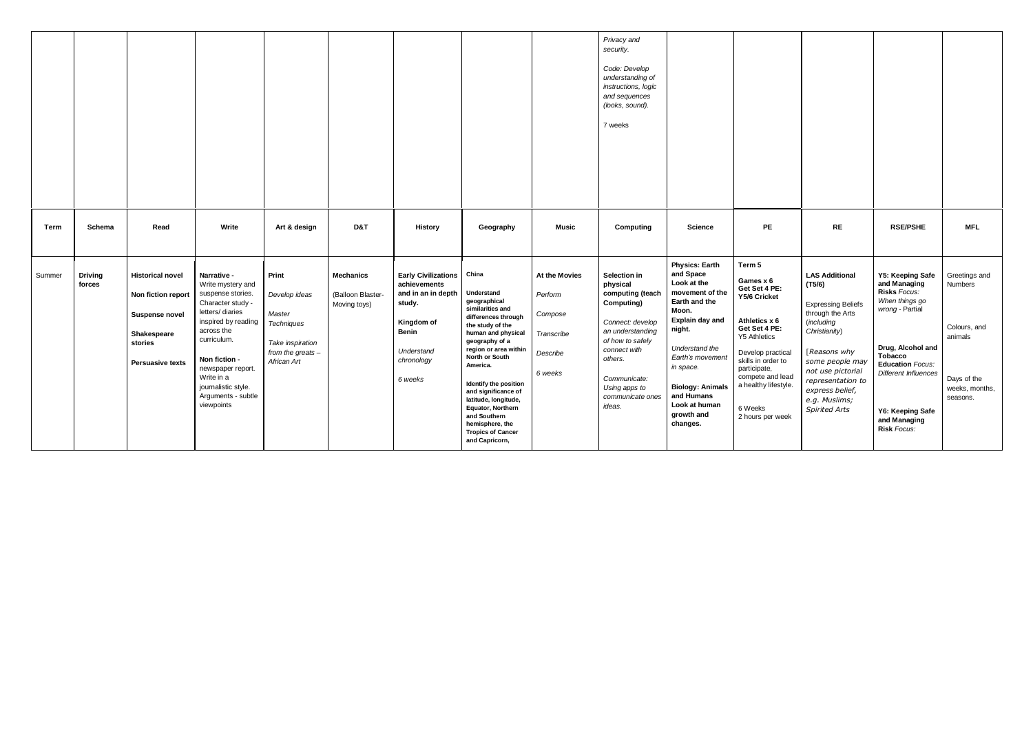|             |                          |                                                                                                                             |                                                                                                                                                                                                                                                                  |                                                                                                                 |                                                       |                                                                                                                                                 |                                                                                                                                                                                                                                                                                                                                                                                 |                                                                          | Privacy and<br>security.<br>Code: Develop<br>understanding of<br>instructions, logic<br>and sequences<br>(looks, sound).<br>7 weeks                                                                                     |                                                                                                                                                                                                                                                                    |                                                                                                                                                                                                                                                       |                                                                                                                                                                                                                                                          |                                                                                                                                                                                                                                           |                                                                                                  |
|-------------|--------------------------|-----------------------------------------------------------------------------------------------------------------------------|------------------------------------------------------------------------------------------------------------------------------------------------------------------------------------------------------------------------------------------------------------------|-----------------------------------------------------------------------------------------------------------------|-------------------------------------------------------|-------------------------------------------------------------------------------------------------------------------------------------------------|---------------------------------------------------------------------------------------------------------------------------------------------------------------------------------------------------------------------------------------------------------------------------------------------------------------------------------------------------------------------------------|--------------------------------------------------------------------------|-------------------------------------------------------------------------------------------------------------------------------------------------------------------------------------------------------------------------|--------------------------------------------------------------------------------------------------------------------------------------------------------------------------------------------------------------------------------------------------------------------|-------------------------------------------------------------------------------------------------------------------------------------------------------------------------------------------------------------------------------------------------------|----------------------------------------------------------------------------------------------------------------------------------------------------------------------------------------------------------------------------------------------------------|-------------------------------------------------------------------------------------------------------------------------------------------------------------------------------------------------------------------------------------------|--------------------------------------------------------------------------------------------------|
| <b>Term</b> | Schema                   | Read                                                                                                                        | Write                                                                                                                                                                                                                                                            | Art & design                                                                                                    | D&T                                                   | <b>History</b>                                                                                                                                  | Geography                                                                                                                                                                                                                                                                                                                                                                       | <b>Music</b>                                                             | Computing                                                                                                                                                                                                               | <b>Science</b>                                                                                                                                                                                                                                                     | <b>PE</b>                                                                                                                                                                                                                                             | <b>RE</b>                                                                                                                                                                                                                                                | <b>RSE/PSHE</b>                                                                                                                                                                                                                           | <b>MFL</b>                                                                                       |
| Summer      | <b>Driving</b><br>forces | <b>Historical novel</b><br>Non fiction report<br><b>Suspense novel</b><br>Shakespeare<br>stories<br><b>Persuasive texts</b> | Narrative -<br>Write mystery and<br>suspense stories.<br>Character study -<br>letters/diaries<br>inspired by reading<br>across the<br>curriculum.<br>Non fiction -<br>newspaper report.<br>Write in a<br>journalistic style.<br>Arguments - subtle<br>viewpoints | Print<br>Develop ideas<br>Master<br><b>Techniques</b><br>Take inspiration<br>from the greats $-$<br>African Art | <b>Mechanics</b><br>(Balloon Blaster-<br>Moving toys) | <b>Early Civilizations</b><br>achievements<br>and in an in depth<br>study.<br>Kingdom of<br><b>Benin</b><br>Understand<br>chronology<br>6 weeks | China<br>Understand<br>geographical<br>similarities and<br>differences through<br>the study of the<br>human and physical<br>geography of a<br>region or area within<br>North or South<br>America.<br>Identify the position<br>and significance of<br>latitude, longitude,<br>Equator, Northern<br>and Southern<br>hemisphere, the<br><b>Tropics of Cancer</b><br>and Capricorn, | At the Movies<br>Perform<br>Compose<br>Transcribe<br>Describe<br>6 weeks | Selection in<br>physical<br>computing (teach<br><b>Computing)</b><br>Connect: develop<br>an understanding<br>of how to safely<br>connect with<br>others.<br>Communicate:<br>Using apps to<br>communicate ones<br>ideas. | <b>Physics: Earth</b><br>and Space<br>Look at the<br>movement of the<br>Earth and the<br>Moon.<br>Explain day and<br>night.<br>Understand the<br>Earth's movement<br>in space.<br><b>Biology: Animals</b><br>and Humans<br>Look at human<br>growth and<br>changes. | Term 5<br>Games $x 6$<br>Get Set 4 PE:<br>Y5/6 Cricket<br>Athletics x 6<br>Get Set 4 PE:<br><b>Y5 Athletics</b><br>Develop practical<br>skills in order to<br>participate,<br>compete and lead<br>a healthy lifestyle.<br>6 Weeks<br>2 hours per week | <b>LAS Additional</b><br>(T5/6)<br><b>Expressing Beliefs</b><br>through the Arts<br>(including<br>Christianity)<br>[Reasons why<br>some people may<br>not use pictorial<br>representation to<br>express belief,<br>e.g. Muslims;<br><b>Spirited Arts</b> | Y5: Keeping Safe<br>and Managing<br>Risks Focus:<br>When things go<br>wrong - Partial<br>Drug, Alcohol and<br><b>Tobacco</b><br><b>Education Focus:</b><br><b>Different Influences</b><br>Y6: Keeping Safe<br>and Managing<br>Risk Focus: | Greetings and<br>Numbers<br>Colours, and<br>animals<br>Days of the<br>weeks, months,<br>seasons. |